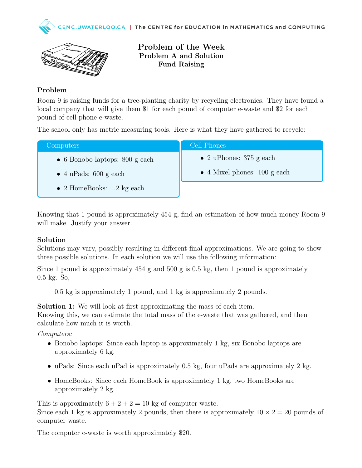



Problem of the Week Problem A and Solution Fund Raising

## Problem

Room 9 is raising funds for a tree-planting charity by recycling electronics. They have found a local company that will give them \$1 for each pound of computer e-waste and \$2 for each pound of cell phone e-waste.

The school only has metric measuring tools. Here is what they have gathered to recycle:

| Computers                              | <b>Cell Phones</b>                   |
|----------------------------------------|--------------------------------------|
| $\bullet$ 6 Bonobo laptops: 800 g each | • 2 uPhones: $375$ g each            |
| $\bullet$ 4 uPads: 600 g each          | $\bullet$ 4 Mixel phones: 100 g each |
| $\bullet$ 2 HomeBooks: 1.2 kg each     |                                      |

Knowing that 1 pound is approximately 454 g, find an estimation of how much money Room 9 will make. Justify your answer.

## Solution

Solutions may vary, possibly resulting in different final approximations. We are going to show three possible solutions. In each solution we will use the following information:

Since 1 pound is approximately  $454$  g and  $500$  g is 0.5 kg, then 1 pound is approximately 0.5 kg. So,

0.5 kg is approximately 1 pound, and 1 kg is approximately 2 pounds.

Solution 1: We will look at first approximating the mass of each item. Knowing this, we can estimate the total mass of the e-waste that was gathered, and then calculate how much it is worth.

Computers:

- Bonobo laptops: Since each laptop is approximately 1 kg, six Bonobo laptops are approximately 6 kg.
- uPads: Since each uPad is approximately 0.5 kg, four uPads are approximately 2 kg.
- HomeBooks: Since each HomeBook is approximately 1 kg, two HomeBooks are approximately 2 kg.

This is approximately  $6 + 2 + 2 = 10$  kg of computer waste. Since each 1 kg is approximately 2 pounds, then there is approximately  $10 \times 2 = 20$  pounds of computer waste.

The computer e-waste is worth approximately \$20.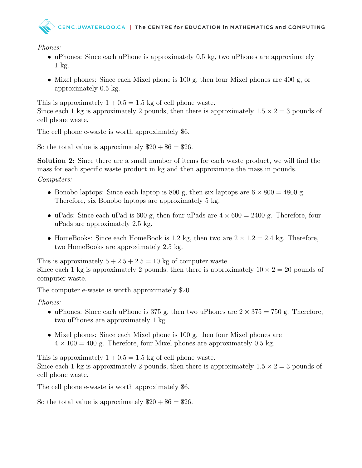

Phones:

- uPhones: Since each uPhone is approximately 0.5 kg, two uPhones are approximately 1 kg.
- Mixel phones: Since each Mixel phone is 100 g, then four Mixel phones are 400 g, or approximately 0.5 kg.

This is approximately  $1 + 0.5 = 1.5$  kg of cell phone waste. Since each 1 kg is approximately 2 pounds, then there is approximately  $1.5 \times 2 = 3$  pounds of cell phone waste.

The cell phone e-waste is worth approximately \$6.

So the total value is approximately  $\$20 + \$6 = \$26$ .

Solution 2: Since there are a small number of items for each waste product, we will find the mass for each specific waste product in kg and then approximate the mass in pounds. Computers:

- Bonobo laptops: Since each laptop is 800 g, then six laptops are  $6 \times 800 = 4800$  g. Therefore, six Bonobo laptops are approximately 5 kg.
- uPads: Since each uPad is 600 g, then four uPads are  $4 \times 600 = 2400$  g. Therefore, four uPads are approximately 2.5 kg.
- HomeBooks: Since each HomeBook is 1.2 kg, then two are  $2 \times 1.2 = 2.4$  kg. Therefore, two HomeBooks are approximately 2.5 kg.

This is approximately  $5 + 2.5 + 2.5 = 10$  kg of computer waste. Since each 1 kg is approximately 2 pounds, then there is approximately  $10 \times 2 = 20$  pounds of computer waste.

The computer e-waste is worth approximately \$20.

Phones:

- uPhones: Since each uPhone is 375 g, then two uPhones are  $2 \times 375 = 750$  g. Therefore, two uPhones are approximately 1 kg.
- Mixel phones: Since each Mixel phone is 100 g, then four Mixel phones are  $4 \times 100 = 400$  g. Therefore, four Mixel phones are approximately 0.5 kg.

This is approximately  $1 + 0.5 = 1.5$  kg of cell phone waste. Since each 1 kg is approximately 2 pounds, then there is approximately  $1.5 \times 2 = 3$  pounds of cell phone waste.

The cell phone e-waste is worth approximately \$6.

So the total value is approximately  $\$20 + \$6 = \$26$ .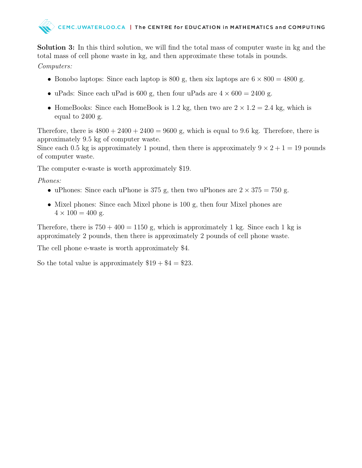

Solution 3: In this third solution, we will find the total mass of computer waste in kg and the total mass of cell phone waste in kg, and then approximate these totals in pounds.

Computers:

- Bonobo laptops: Since each laptop is 800 g, then six laptops are  $6 \times 800 = 4800$  g.
- uPads: Since each uPad is 600 g, then four uPads are  $4 \times 600 = 2400$  g.
- HomeBooks: Since each HomeBook is 1.2 kg, then two are  $2 \times 1.2 = 2.4$  kg, which is equal to 2400 g.

Therefore, there is  $4800 + 2400 + 2400 = 9600$  g, which is equal to 9.6 kg. Therefore, there is approximately 9.5 kg of computer waste.

Since each 0.5 kg is approximately 1 pound, then there is approximately  $9 \times 2 + 1 = 19$  pounds of computer waste.

The computer e-waste is worth approximately \$19.

Phones:

- uPhones: Since each uPhone is 375 g, then two uPhones are  $2 \times 375 = 750$  g.
- Mixel phones: Since each Mixel phone is 100 g, then four Mixel phones are  $4 \times 100 = 400$  g.

Therefore, there is  $750 + 400 = 1150$  g, which is approximately 1 kg. Since each 1 kg is approximately 2 pounds, then there is approximately 2 pounds of cell phone waste.

The cell phone e-waste is worth approximately \$4.

So the total value is approximately  $$19 + $4 = $23$ .